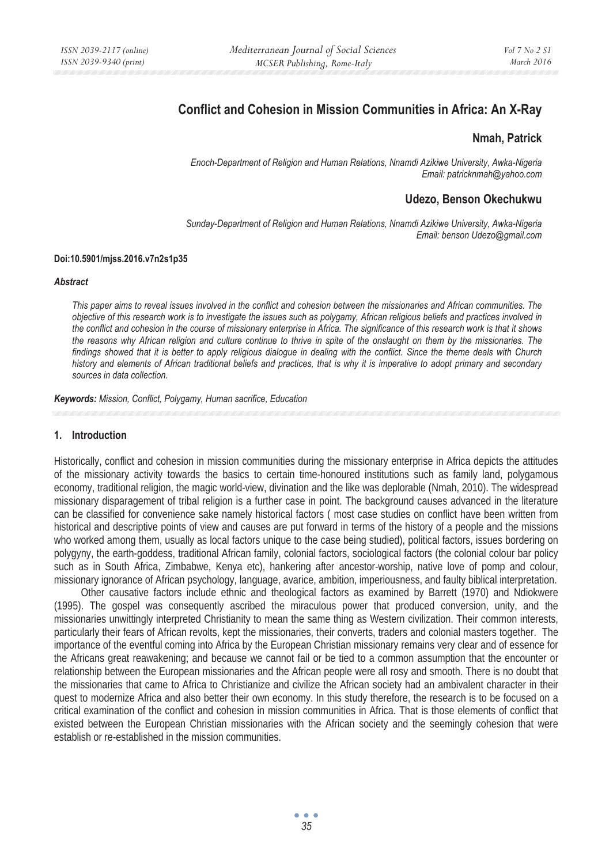# **Conflict and Cohesion in Mission Communities in Africa: An X-Ray**

### **Nmah, Patrick**

*Enoch-Department of Religion and Human Relations, Nnamdi Azikiwe University, Awka-Nigeria Email: patricknmah@yahoo.com* 

### **Udezo, Benson Okechukwu**

*Sunday-Department of Religion and Human Relations, Nnamdi Azikiwe University, Awka-Nigeria Email: benson Udezo@gmail.com* 

#### **Doi:10.5901/mjss.2016.v7n2s1p35**

#### *Abstract*

*This paper aims to reveal issues involved in the conflict and cohesion between the missionaries and African communities. The objective of this research work is to investigate the issues such as polygamy, African religious beliefs and practices involved in the conflict and cohesion in the course of missionary enterprise in Africa. The significance of this research work is that it shows the reasons why African religion and culture continue to thrive in spite of the onslaught on them by the missionaries. The findings showed that it is better to apply religious dialogue in dealing with the conflict. Since the theme deals with Church history and elements of African traditional beliefs and practices, that is why it is imperative to adopt primary and secondary sources in data collection.* 

*Keywords: Mission, Conflict, Polygamy, Human sacrifice, Education*

### **1. Introduction**

Historically, conflict and cohesion in mission communities during the missionary enterprise in Africa depicts the attitudes of the missionary activity towards the basics to certain time-honoured institutions such as family land, polygamous economy, traditional religion, the magic world-view, divination and the like was deplorable (Nmah, 2010). The widespread missionary disparagement of tribal religion is a further case in point. The background causes advanced in the literature can be classified for convenience sake namely historical factors ( most case studies on conflict have been written from historical and descriptive points of view and causes are put forward in terms of the history of a people and the missions who worked among them, usually as local factors unique to the case being studied), political factors, issues bordering on polygyny, the earth-goddess, traditional African family, colonial factors, sociological factors (the colonial colour bar policy such as in South Africa, Zimbabwe, Kenya etc), hankering after ancestor-worship, native love of pomp and colour, missionary ignorance of African psychology, language, avarice, ambition, imperiousness, and faulty biblical interpretation.

Other causative factors include ethnic and theological factors as examined by Barrett (1970) and Ndiokwere (1995). The gospel was consequently ascribed the miraculous power that produced conversion, unity, and the missionaries unwittingly interpreted Christianity to mean the same thing as Western civilization. Their common interests, particularly their fears of African revolts, kept the missionaries, their converts, traders and colonial masters together. The importance of the eventful coming into Africa by the European Christian missionary remains very clear and of essence for the Africans great reawakening; and because we cannot fail or be tied to a common assumption that the encounter or relationship between the European missionaries and the African people were all rosy and smooth. There is no doubt that the missionaries that came to Africa to Christianize and civilize the African society had an ambivalent character in their quest to modernize Africa and also better their own economy. In this study therefore, the research is to be focused on a critical examination of the conflict and cohesion in mission communities in Africa. That is those elements of conflict that existed between the European Christian missionaries with the African society and the seemingly cohesion that were establish or re-established in the mission communities.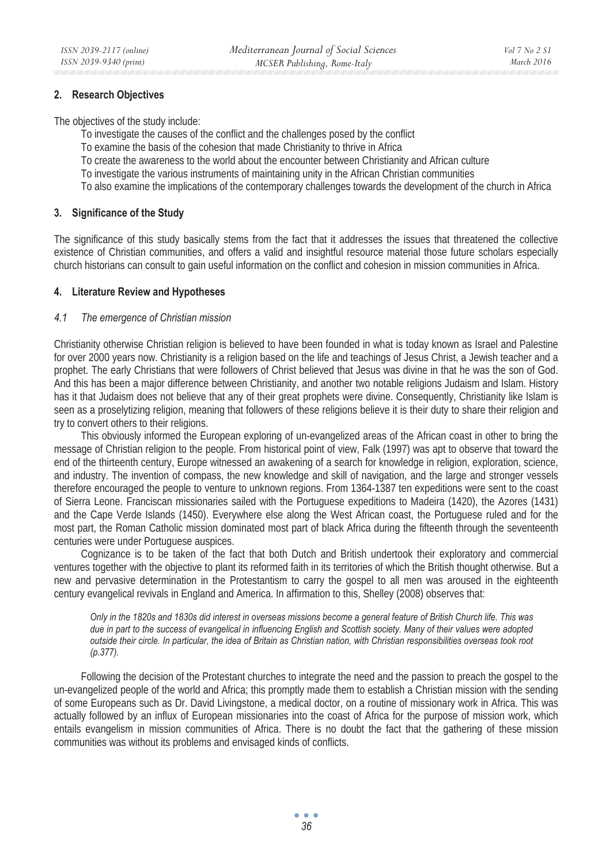### **2. Research Objectives**

The objectives of the study include:

- To investigate the causes of the conflict and the challenges posed by the conflict
- To examine the basis of the cohesion that made Christianity to thrive in Africa
- To create the awareness to the world about the encounter between Christianity and African culture
- To investigate the various instruments of maintaining unity in the African Christian communities
- To also examine the implications of the contemporary challenges towards the development of the church in Africa

### **3. Significance of the Study**

The significance of this study basically stems from the fact that it addresses the issues that threatened the collective existence of Christian communities, and offers a valid and insightful resource material those future scholars especially church historians can consult to gain useful information on the conflict and cohesion in mission communities in Africa.

### **4. Literature Review and Hypotheses**

### *4.1 The emergence of Christian mission*

Christianity otherwise Christian religion is believed to have been founded in what is today known as Israel and Palestine for over 2000 years now. Christianity is a religion based on the life and teachings of Jesus Christ, a Jewish teacher and a prophet. The early Christians that were followers of Christ believed that Jesus was divine in that he was the son of God. And this has been a major difference between Christianity, and another two notable religions Judaism and Islam. History has it that Judaism does not believe that any of their great prophets were divine. Consequently, Christianity like Islam is seen as a proselytizing religion, meaning that followers of these religions believe it is their duty to share their religion and try to convert others to their religions.

This obviously informed the European exploring of un-evangelized areas of the African coast in other to bring the message of Christian religion to the people. From historical point of view, Falk (1997) was apt to observe that toward the end of the thirteenth century, Europe witnessed an awakening of a search for knowledge in religion, exploration, science, and industry. The invention of compass, the new knowledge and skill of navigation, and the large and stronger vessels therefore encouraged the people to venture to unknown regions. From 1364-1387 ten expeditions were sent to the coast of Sierra Leone. Franciscan missionaries sailed with the Portuguese expeditions to Madeira (1420), the Azores (1431) and the Cape Verde Islands (1450). Everywhere else along the West African coast, the Portuguese ruled and for the most part, the Roman Catholic mission dominated most part of black Africa during the fifteenth through the seventeenth centuries were under Portuguese auspices.

Cognizance is to be taken of the fact that both Dutch and British undertook their exploratory and commercial ventures together with the objective to plant its reformed faith in its territories of which the British thought otherwise. But a new and pervasive determination in the Protestantism to carry the gospel to all men was aroused in the eighteenth century evangelical revivals in England and America. In affirmation to this, Shelley (2008) observes that:

*Only in the 1820s and 1830s did interest in overseas missions become a general feature of British Church life. This was due in part to the success of evangelical in influencing English and Scottish society. Many of their values were adopted outside their circle. In particular, the idea of Britain as Christian nation, with Christian responsibilities overseas took root (p.377).* 

Following the decision of the Protestant churches to integrate the need and the passion to preach the gospel to the un-evangelized people of the world and Africa; this promptly made them to establish a Christian mission with the sending of some Europeans such as Dr. David Livingstone, a medical doctor, on a routine of missionary work in Africa. This was actually followed by an influx of European missionaries into the coast of Africa for the purpose of mission work, which entails evangelism in mission communities of Africa. There is no doubt the fact that the gathering of these mission communities was without its problems and envisaged kinds of conflicts.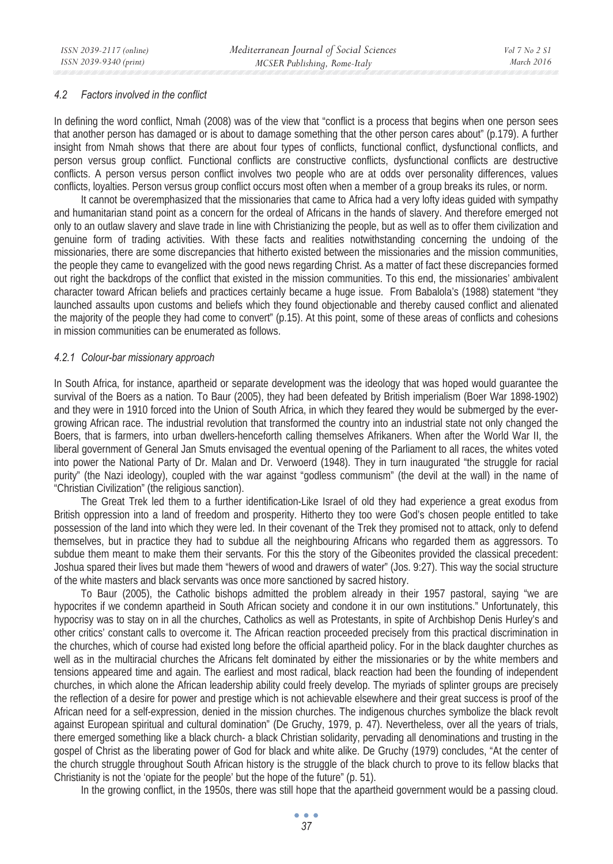#### *4.2 Factors involved in the conflict*

In defining the word conflict, Nmah (2008) was of the view that "conflict is a process that begins when one person sees that another person has damaged or is about to damage something that the other person cares about" (p.179). A further insight from Nmah shows that there are about four types of conflicts, functional conflict, dysfunctional conflicts, and person versus group conflict. Functional conflicts are constructive conflicts, dysfunctional conflicts are destructive conflicts. A person versus person conflict involves two people who are at odds over personality differences, values conflicts, loyalties. Person versus group conflict occurs most often when a member of a group breaks its rules, or norm.

It cannot be overemphasized that the missionaries that came to Africa had a very lofty ideas guided with sympathy and humanitarian stand point as a concern for the ordeal of Africans in the hands of slavery. And therefore emerged not only to an outlaw slavery and slave trade in line with Christianizing the people, but as well as to offer them civilization and genuine form of trading activities. With these facts and realities notwithstanding concerning the undoing of the missionaries, there are some discrepancies that hitherto existed between the missionaries and the mission communities, the people they came to evangelized with the good news regarding Christ. As a matter of fact these discrepancies formed out right the backdrops of the conflict that existed in the mission communities. To this end, the missionaries' ambivalent character toward African beliefs and practices certainly became a huge issue. From Babalola's (1988) statement "they launched assaults upon customs and beliefs which they found objectionable and thereby caused conflict and alienated the majority of the people they had come to convert" (p.15). At this point, some of these areas of conflicts and cohesions in mission communities can be enumerated as follows.

#### *4.2.1 Colour-bar missionary approach*

In South Africa, for instance, apartheid or separate development was the ideology that was hoped would guarantee the survival of the Boers as a nation. To Baur (2005), they had been defeated by British imperialism (Boer War 1898-1902) and they were in 1910 forced into the Union of South Africa, in which they feared they would be submerged by the evergrowing African race. The industrial revolution that transformed the country into an industrial state not only changed the Boers, that is farmers, into urban dwellers-henceforth calling themselves Afrikaners. When after the World War II, the liberal government of General Jan Smuts envisaged the eventual opening of the Parliament to all races, the whites voted into power the National Party of Dr. Malan and Dr. Verwoerd (1948). They in turn inaugurated "the struggle for racial purity" (the Nazi ideology), coupled with the war against "godless communism" (the devil at the wall) in the name of "Christian Civilization" (the religious sanction).

The Great Trek led them to a further identification-Like Israel of old they had experience a great exodus from British oppression into a land of freedom and prosperity. Hitherto they too were God's chosen people entitled to take possession of the land into which they were led. In their covenant of the Trek they promised not to attack, only to defend themselves, but in practice they had to subdue all the neighbouring Africans who regarded them as aggressors. To subdue them meant to make them their servants. For this the story of the Gibeonites provided the classical precedent: Joshua spared their lives but made them "hewers of wood and drawers of water" (Jos. 9:27). This way the social structure of the white masters and black servants was once more sanctioned by sacred history.

To Baur (2005), the Catholic bishops admitted the problem already in their 1957 pastoral, saying "we are hypocrites if we condemn apartheid in South African society and condone it in our own institutions." Unfortunately, this hypocrisy was to stay on in all the churches, Catholics as well as Protestants, in spite of Archbishop Denis Hurley's and other critics' constant calls to overcome it. The African reaction proceeded precisely from this practical discrimination in the churches, which of course had existed long before the official apartheid policy. For in the black daughter churches as well as in the multiracial churches the Africans felt dominated by either the missionaries or by the white members and tensions appeared time and again. The earliest and most radical, black reaction had been the founding of independent churches, in which alone the African leadership ability could freely develop. The myriads of splinter groups are precisely the reflection of a desire for power and prestige which is not achievable elsewhere and their great success is proof of the African need for a self-expression, denied in the mission churches. The indigenous churches symbolize the black revolt against European spiritual and cultural domination" (De Gruchy, 1979, p. 47). Nevertheless, over all the years of trials, there emerged something like a black church- a black Christian solidarity, pervading all denominations and trusting in the gospel of Christ as the liberating power of God for black and white alike. De Gruchy (1979) concludes, "At the center of the church struggle throughout South African history is the struggle of the black church to prove to its fellow blacks that Christianity is not the 'opiate for the people' but the hope of the future" (p. 51).

In the growing conflict, in the 1950s, there was still hope that the apartheid government would be a passing cloud.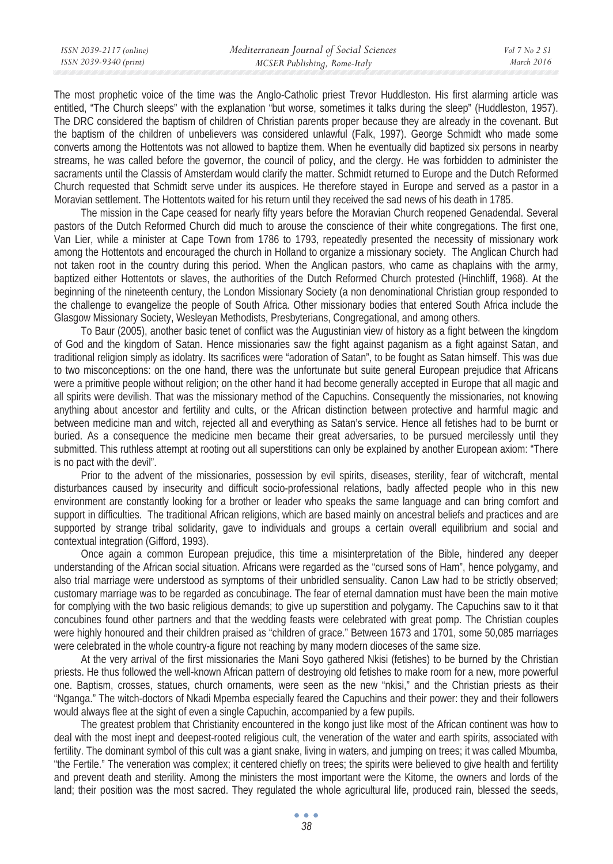*March 2016* 

The most prophetic voice of the time was the Anglo-Catholic priest Trevor Huddleston. His first alarming article was entitled, "The Church sleeps" with the explanation "but worse, sometimes it talks during the sleep" (Huddleston, 1957). The DRC considered the baptism of children of Christian parents proper because they are already in the covenant. But the baptism of the children of unbelievers was considered unlawful (Falk, 1997). George Schmidt who made some converts among the Hottentots was not allowed to baptize them. When he eventually did baptized six persons in nearby streams, he was called before the governor, the council of policy, and the clergy. He was forbidden to administer the sacraments until the Classis of Amsterdam would clarify the matter. Schmidt returned to Europe and the Dutch Reformed Church requested that Schmidt serve under its auspices. He therefore stayed in Europe and served as a pastor in a Moravian settlement. The Hottentots waited for his return until they received the sad news of his death in 1785.

The mission in the Cape ceased for nearly fifty years before the Moravian Church reopened Genadendal. Several pastors of the Dutch Reformed Church did much to arouse the conscience of their white congregations. The first one, Van Lier, while a minister at Cape Town from 1786 to 1793, repeatedly presented the necessity of missionary work among the Hottentots and encouraged the church in Holland to organize a missionary society. The Anglican Church had not taken root in the country during this period. When the Anglican pastors, who came as chaplains with the army, baptized either Hottentots or slaves, the authorities of the Dutch Reformed Church protested (Hinchliff, 1968). At the beginning of the nineteenth century, the London Missionary Society (a non denominational Christian group responded to the challenge to evangelize the people of South Africa. Other missionary bodies that entered South Africa include the Glasgow Missionary Society, Wesleyan Methodists, Presbyterians, Congregational, and among others.

To Baur (2005), another basic tenet of conflict was the Augustinian view of history as a fight between the kingdom of God and the kingdom of Satan. Hence missionaries saw the fight against paganism as a fight against Satan, and traditional religion simply as idolatry. Its sacrifices were "adoration of Satan", to be fought as Satan himself. This was due to two misconceptions: on the one hand, there was the unfortunate but suite general European prejudice that Africans were a primitive people without religion; on the other hand it had become generally accepted in Europe that all magic and all spirits were devilish. That was the missionary method of the Capuchins. Consequently the missionaries, not knowing anything about ancestor and fertility and cults, or the African distinction between protective and harmful magic and between medicine man and witch, rejected all and everything as Satan's service. Hence all fetishes had to be burnt or buried. As a consequence the medicine men became their great adversaries, to be pursued mercilessly until they submitted. This ruthless attempt at rooting out all superstitions can only be explained by another European axiom: "There is no pact with the devil".

Prior to the advent of the missionaries, possession by evil spirits, diseases, sterility, fear of witchcraft, mental disturbances caused by insecurity and difficult socio-professional relations, badly affected people who in this new environment are constantly looking for a brother or leader who speaks the same language and can bring comfort and support in difficulties. The traditional African religions, which are based mainly on ancestral beliefs and practices and are supported by strange tribal solidarity, gave to individuals and groups a certain overall equilibrium and social and contextual integration (Gifford, 1993).

Once again a common European prejudice, this time a misinterpretation of the Bible, hindered any deeper understanding of the African social situation. Africans were regarded as the "cursed sons of Ham", hence polygamy, and also trial marriage were understood as symptoms of their unbridled sensuality. Canon Law had to be strictly observed; customary marriage was to be regarded as concubinage. The fear of eternal damnation must have been the main motive for complying with the two basic religious demands; to give up superstition and polygamy. The Capuchins saw to it that concubines found other partners and that the wedding feasts were celebrated with great pomp. The Christian couples were highly honoured and their children praised as "children of grace." Between 1673 and 1701, some 50,085 marriages were celebrated in the whole country-a figure not reaching by many modern dioceses of the same size.

At the very arrival of the first missionaries the Mani Soyo gathered Nkisi (fetishes) to be burned by the Christian priests. He thus followed the well-known African pattern of destroying old fetishes to make room for a new, more powerful one. Baptism, crosses, statues, church ornaments, were seen as the new "nkisi," and the Christian priests as their "Nganga." The witch-doctors of Nkadi Mpemba especially feared the Capuchins and their power: they and their followers would always flee at the sight of even a single Capuchin, accompanied by a few pupils.

The greatest problem that Christianity encountered in the kongo just like most of the African continent was how to deal with the most inept and deepest-rooted religious cult, the veneration of the water and earth spirits, associated with fertility. The dominant symbol of this cult was a giant snake, living in waters, and jumping on trees; it was called Mbumba, "the Fertile." The veneration was complex; it centered chiefly on trees; the spirits were believed to give health and fertility and prevent death and sterility. Among the ministers the most important were the Kitome, the owners and lords of the land; their position was the most sacred. They regulated the whole agricultural life, produced rain, blessed the seeds,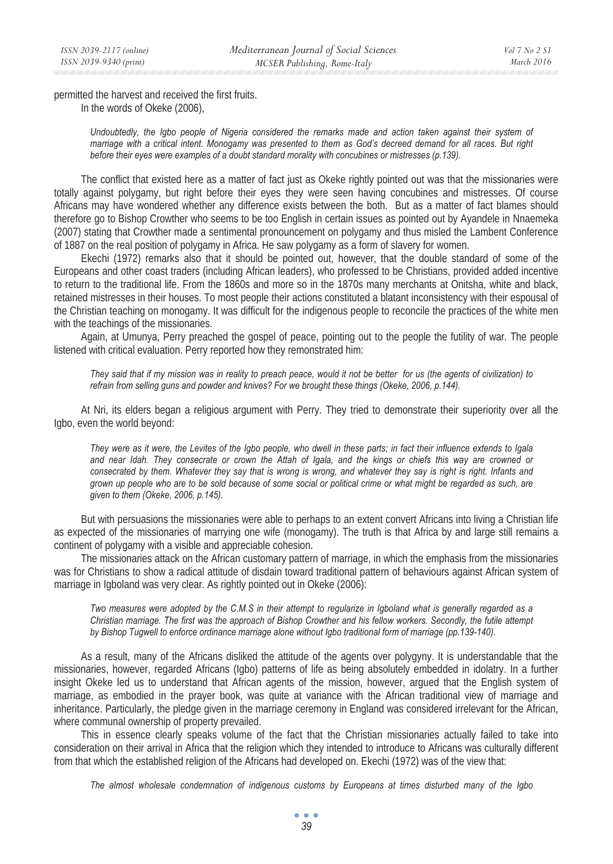permitted the harvest and received the first fruits. In the words of Okeke (2006),

> *Undoubtedly, the Igbo people of Nigeria considered the remarks made and action taken against their system of marriage with a critical intent. Monogamy was presented to them as God's decreed demand for all races. But right before their eyes were examples of a doubt standard morality with concubines or mistresses (p.139).*

The conflict that existed here as a matter of fact just as Okeke rightly pointed out was that the missionaries were totally against polygamy, but right before their eyes they were seen having concubines and mistresses. Of course Africans may have wondered whether any difference exists between the both. But as a matter of fact blames should therefore go to Bishop Crowther who seems to be too English in certain issues as pointed out by Ayandele in Nnaemeka (2007) stating that Crowther made a sentimental pronouncement on polygamy and thus misled the Lambent Conference of 1887 on the real position of polygamy in Africa. He saw polygamy as a form of slavery for women.

Ekechi (1972) remarks also that it should be pointed out, however, that the double standard of some of the Europeans and other coast traders (including African leaders), who professed to be Christians, provided added incentive to return to the traditional life. From the 1860s and more so in the 1870s many merchants at Onitsha, white and black, retained mistresses in their houses. To most people their actions constituted a blatant inconsistency with their espousal of the Christian teaching on monogamy. It was difficult for the indigenous people to reconcile the practices of the white men with the teachings of the missionaries.

Again, at Umunya, Perry preached the gospel of peace, pointing out to the people the futility of war. The people listened with critical evaluation. Perry reported how they remonstrated him:

*They said that if my mission was in reality to preach peace, would it not be better for us (the agents of civilization) to refrain from selling guns and powder and knives? For we brought these things (Okeke, 2006, p.144).* 

At Nri, its elders began a religious argument with Perry. They tried to demonstrate their superiority over all the Igbo, even the world beyond:

*They were as it were, the Levites of the Igbo people, who dwell in these parts; in fact their influence extends to Igala and near Idah. They consecrate or crown the Attah of Igala, and the kings or chiefs this way are crowned or consecrated by them. Whatever they say that is wrong is wrong, and whatever they say is right is right. Infants and grown up people who are to be sold because of some social or political crime or what might be regarded as such, are given to them (Okeke, 2006, p.145).* 

But with persuasions the missionaries were able to perhaps to an extent convert Africans into living a Christian life as expected of the missionaries of marrying one wife (monogamy). The truth is that Africa by and large still remains a continent of polygamy with a visible and appreciable cohesion.

The missionaries attack on the African customary pattern of marriage, in which the emphasis from the missionaries was for Christians to show a radical attitude of disdain toward traditional pattern of behaviours against African system of marriage in Igboland was very clear. As rightly pointed out in Okeke (2006):

*Two measures were adopted by the C.M.S in their attempt to regularize in Igboland what is generally regarded as a Christian marriage. The first was the approach of Bishop Crowther and his fellow workers. Secondly, the futile attempt*  by Bishop Tugwell to enforce ordinance marriage alone without Igbo traditional form of marriage (pp.139-140).

As a result, many of the Africans disliked the attitude of the agents over polygyny. It is understandable that the missionaries, however, regarded Africans (Igbo) patterns of life as being absolutely embedded in idolatry. In a further insight Okeke led us to understand that African agents of the mission, however, argued that the English system of marriage, as embodied in the prayer book, was quite at variance with the African traditional view of marriage and inheritance. Particularly, the pledge given in the marriage ceremony in England was considered irrelevant for the African, where communal ownership of property prevailed.

This in essence clearly speaks volume of the fact that the Christian missionaries actually failed to take into consideration on their arrival in Africa that the religion which they intended to introduce to Africans was culturally different from that which the established religion of the Africans had developed on. Ekechi (1972) was of the view that:

*The almost wholesale condemnation of indigenous customs by Europeans at times disturbed many of the Igbo*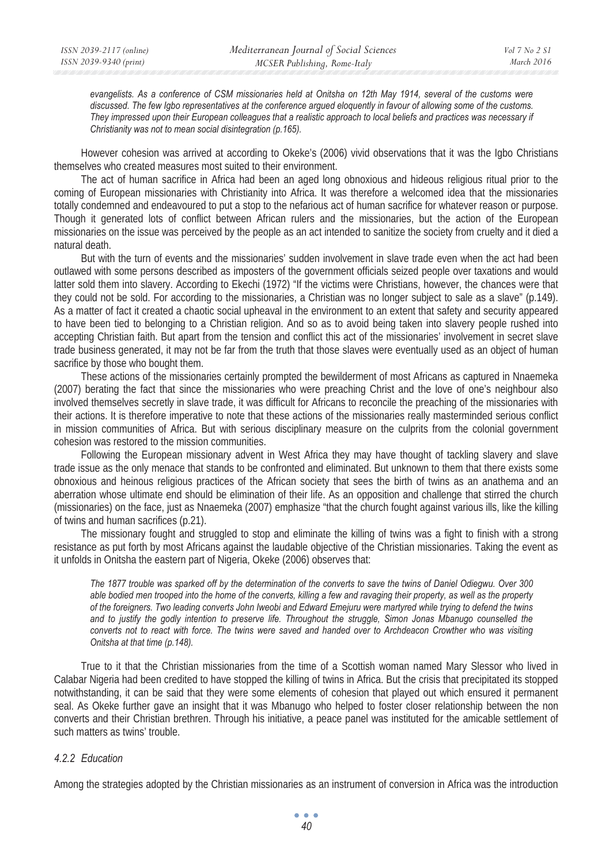*evangelists. As a conference of CSM missionaries held at Onitsha on 12th May 1914, several of the customs were discussed. The few Igbo representatives at the conference argued eloquently in favour of allowing some of the customs. They impressed upon their European colleagues that a realistic approach to local beliefs and practices was necessary if Christianity was not to mean social disintegration (p.165).* 

However cohesion was arrived at according to Okeke's (2006) vivid observations that it was the Igbo Christians themselves who created measures most suited to their environment.

The act of human sacrifice in Africa had been an aged long obnoxious and hideous religious ritual prior to the coming of European missionaries with Christianity into Africa. It was therefore a welcomed idea that the missionaries totally condemned and endeavoured to put a stop to the nefarious act of human sacrifice for whatever reason or purpose. Though it generated lots of conflict between African rulers and the missionaries, but the action of the European missionaries on the issue was perceived by the people as an act intended to sanitize the society from cruelty and it died a natural death.

But with the turn of events and the missionaries' sudden involvement in slave trade even when the act had been outlawed with some persons described as imposters of the government officials seized people over taxations and would latter sold them into slavery. According to Ekechi (1972) "If the victims were Christians, however, the chances were that they could not be sold. For according to the missionaries, a Christian was no longer subject to sale as a slave" (p.149). As a matter of fact it created a chaotic social upheaval in the environment to an extent that safety and security appeared to have been tied to belonging to a Christian religion. And so as to avoid being taken into slavery people rushed into accepting Christian faith. But apart from the tension and conflict this act of the missionaries' involvement in secret slave trade business generated, it may not be far from the truth that those slaves were eventually used as an object of human sacrifice by those who bought them.

These actions of the missionaries certainly prompted the bewilderment of most Africans as captured in Nnaemeka (2007) berating the fact that since the missionaries who were preaching Christ and the love of one's neighbour also involved themselves secretly in slave trade, it was difficult for Africans to reconcile the preaching of the missionaries with their actions. It is therefore imperative to note that these actions of the missionaries really masterminded serious conflict in mission communities of Africa. But with serious disciplinary measure on the culprits from the colonial government cohesion was restored to the mission communities.

Following the European missionary advent in West Africa they may have thought of tackling slavery and slave trade issue as the only menace that stands to be confronted and eliminated. But unknown to them that there exists some obnoxious and heinous religious practices of the African society that sees the birth of twins as an anathema and an aberration whose ultimate end should be elimination of their life. As an opposition and challenge that stirred the church (missionaries) on the face, just as Nnaemeka (2007) emphasize "that the church fought against various ills, like the killing of twins and human sacrifices (p.21).

The missionary fought and struggled to stop and eliminate the killing of twins was a fight to finish with a strong resistance as put forth by most Africans against the laudable objective of the Christian missionaries. Taking the event as it unfolds in Onitsha the eastern part of Nigeria, Okeke (2006) observes that:

*The 1877 trouble was sparked off by the determination of the converts to save the twins of Daniel Odiegwu. Over 300 able bodied men trooped into the home of the converts, killing a few and ravaging their property, as well as the property of the foreigners. Two leading converts John Iweobi and Edward Emejuru were martyred while trying to defend the twins*  and to justify the godly intention to preserve life. Throughout the struggle, Simon Jonas Mbanugo counselled the *converts not to react with force. The twins were saved and handed over to Archdeacon Crowther who was visiting Onitsha at that time (p.148).* 

True to it that the Christian missionaries from the time of a Scottish woman named Mary Slessor who lived in Calabar Nigeria had been credited to have stopped the killing of twins in Africa. But the crisis that precipitated its stopped notwithstanding, it can be said that they were some elements of cohesion that played out which ensured it permanent seal. As Okeke further gave an insight that it was Mbanugo who helped to foster closer relationship between the non converts and their Christian brethren. Through his initiative, a peace panel was instituted for the amicable settlement of such matters as twins' trouble.

### *4.2.2 Education*

Among the strategies adopted by the Christian missionaries as an instrument of conversion in Africa was the introduction

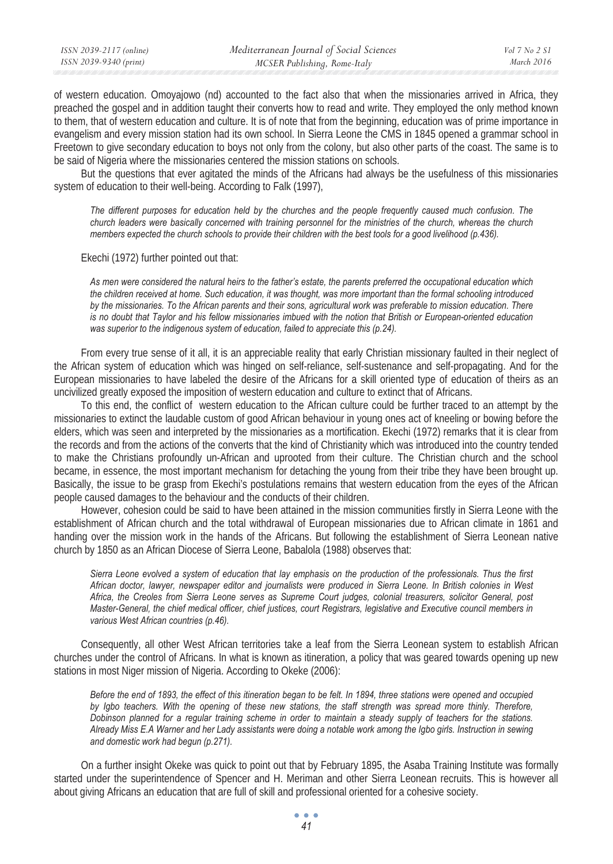| ISSN 2039-2117 (online) | Mediterranean Journal of Social Sciences | Vol 7 No 2 S1 |
|-------------------------|------------------------------------------|---------------|
| ISSN 2039-9340 (print)  | MCSER Publishing, Rome-Italy             | March 2016    |

of western education. Omoyajowo (nd) accounted to the fact also that when the missionaries arrived in Africa, they preached the gospel and in addition taught their converts how to read and write. They employed the only method known to them, that of western education and culture. It is of note that from the beginning, education was of prime importance in evangelism and every mission station had its own school. In Sierra Leone the CMS in 1845 opened a grammar school in Freetown to give secondary education to boys not only from the colony, but also other parts of the coast. The same is to be said of Nigeria where the missionaries centered the mission stations on schools.

But the questions that ever agitated the minds of the Africans had always be the usefulness of this missionaries system of education to their well-being. According to Falk (1997),

*The different purposes for education held by the churches and the people frequently caused much confusion. The church leaders were basically concerned with training personnel for the ministries of the church, whereas the church members expected the church schools to provide their children with the best tools for a good livelihood (p.436).* 

Ekechi (1972) further pointed out that:

*As men were considered the natural heirs to the father's estate, the parents preferred the occupational education which the children received at home. Such education, it was thought, was more important than the formal schooling introduced by the missionaries. To the African parents and their sons, agricultural work was preferable to mission education. There is no doubt that Taylor and his fellow missionaries imbued with the notion that British or European-oriented education was superior to the indigenous system of education, failed to appreciate this (p.24).* 

From every true sense of it all, it is an appreciable reality that early Christian missionary faulted in their neglect of the African system of education which was hinged on self-reliance, self-sustenance and self-propagating. And for the European missionaries to have labeled the desire of the Africans for a skill oriented type of education of theirs as an uncivilized greatly exposed the imposition of western education and culture to extinct that of Africans.

To this end, the conflict of western education to the African culture could be further traced to an attempt by the missionaries to extinct the laudable custom of good African behaviour in young ones act of kneeling or bowing before the elders, which was seen and interpreted by the missionaries as a mortification. Ekechi (1972) remarks that it is clear from the records and from the actions of the converts that the kind of Christianity which was introduced into the country tended to make the Christians profoundly un-African and uprooted from their culture. The Christian church and the school became, in essence, the most important mechanism for detaching the young from their tribe they have been brought up. Basically, the issue to be grasp from Ekechi's postulations remains that western education from the eyes of the African people caused damages to the behaviour and the conducts of their children.

However, cohesion could be said to have been attained in the mission communities firstly in Sierra Leone with the establishment of African church and the total withdrawal of European missionaries due to African climate in 1861 and handing over the mission work in the hands of the Africans. But following the establishment of Sierra Leonean native church by 1850 as an African Diocese of Sierra Leone, Babalola (1988) observes that:

*Sierra Leone evolved a system of education that lay emphasis on the production of the professionals. Thus the first African doctor, lawyer, newspaper editor and journalists were produced in Sierra Leone. In British colonies in West Africa, the Creoles from Sierra Leone serves as Supreme Court judges, colonial treasurers, solicitor General, post Master-General, the chief medical officer, chief justices, court Registrars, legislative and Executive council members in various West African countries (p.46).* 

Consequently, all other West African territories take a leaf from the Sierra Leonean system to establish African churches under the control of Africans. In what is known as itineration, a policy that was geared towards opening up new stations in most Niger mission of Nigeria. According to Okeke (2006):

*Before the end of 1893, the effect of this itineration began to be felt. In 1894, three stations were opened and occupied* by Igbo teachers. With the opening of these new stations, the staff strength was spread more thinly. Therefore, *Dobinson planned for a regular training scheme in order to maintain a steady supply of teachers for the stations. Already Miss E.A Warner and her Lady assistants were doing a notable work among the Igbo girls. Instruction in sewing and domestic work had begun (p.271).* 

On a further insight Okeke was quick to point out that by February 1895, the Asaba Training Institute was formally started under the superintendence of Spencer and H. Meriman and other Sierra Leonean recruits. This is however all about giving Africans an education that are full of skill and professional oriented for a cohesive society.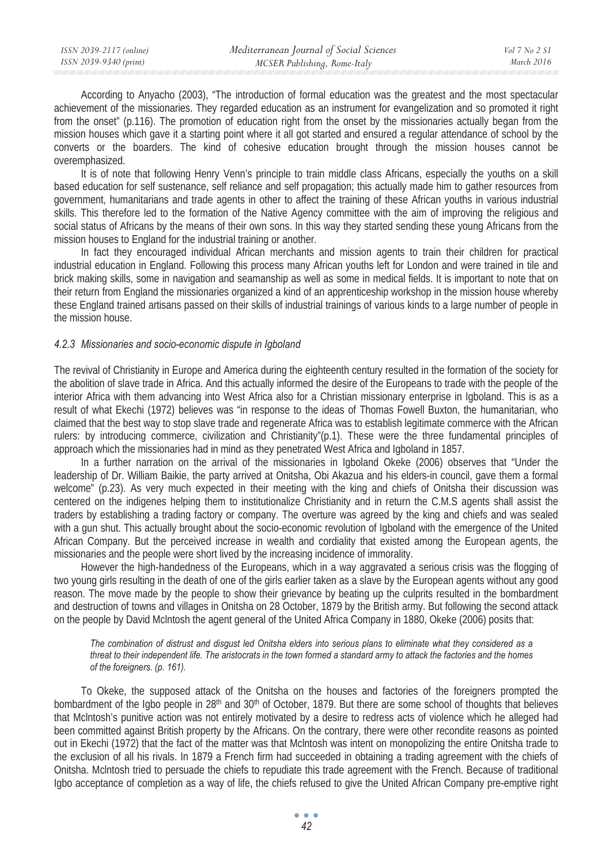According to Anyacho (2003), "The introduction of formal education was the greatest and the most spectacular achievement of the missionaries. They regarded education as an instrument for evangelization and so promoted it right from the onset" (p.116). The promotion of education right from the onset by the missionaries actually began from the mission houses which gave it a starting point where it all got started and ensured a regular attendance of school by the converts or the boarders. The kind of cohesive education brought through the mission houses cannot be overemphasized.

It is of note that following Henry Venn's principle to train middle class Africans, especially the youths on a skill based education for self sustenance, self reliance and self propagation; this actually made him to gather resources from government, humanitarians and trade agents in other to affect the training of these African youths in various industrial skills. This therefore led to the formation of the Native Agency committee with the aim of improving the religious and social status of Africans by the means of their own sons. In this way they started sending these young Africans from the mission houses to England for the industrial training or another.

In fact they encouraged individual African merchants and mission agents to train their children for practical industrial education in England. Following this process many African youths left for London and were trained in tile and brick making skills, some in navigation and seamanship as well as some in medical fields. It is important to note that on their return from England the missionaries organized a kind of an apprenticeship workshop in the mission house whereby these England trained artisans passed on their skills of industrial trainings of various kinds to a large number of people in the mission house.

#### *4.2.3 Missionaries and socio-economic dispute in Igboland*

The revival of Christianity in Europe and America during the eighteenth century resulted in the formation of the society for the abolition of slave trade in Africa. And this actually informed the desire of the Europeans to trade with the people of the interior Africa with them advancing into West Africa also for a Christian missionary enterprise in Igboland. This is as a result of what Ekechi (1972) believes was "in response to the ideas of Thomas Fowell Buxton, the humanitarian, who claimed that the best way to stop slave trade and regenerate Africa was to establish legitimate commerce with the African rulers: by introducing commerce, civilization and Christianity"(p.1). These were the three fundamental principles of approach which the missionaries had in mind as they penetrated West Africa and Igboland in 1857.

In a further narration on the arrival of the missionaries in Igboland Okeke (2006) observes that "Under the leadership of Dr. William Baikie, the party arrived at Onitsha, Obi Akazua and his elders-in council, gave them a formal welcome" (p.23). As very much expected in their meeting with the king and chiefs of Onitsha their discussion was centered on the indigenes helping them to institutionalize Christianity and in return the C.M.S agents shall assist the traders by establishing a trading factory or company. The overture was agreed by the king and chiefs and was sealed with a gun shut. This actually brought about the socio-economic revolution of Igboland with the emergence of the United African Company. But the perceived increase in wealth and cordiality that existed among the European agents, the missionaries and the people were short lived by the increasing incidence of immorality.

However the high-handedness of the Europeans, which in a way aggravated a serious crisis was the flogging of two young girls resulting in the death of one of the girls earlier taken as a slave by the European agents without any good reason. The move made by the people to show their grievance by beating up the culprits resulted in the bombardment and destruction of towns and villages in Onitsha on 28 October, 1879 by the British army. But following the second attack on the people by David Mclntosh the agent general of the United Africa Company in 1880, Okeke (2006) posits that:

*The combination of distrust and disgust led Onitsha elders into serious plans to eliminate what they considered as a threat to their independent life. The aristocrats in the town formed a standard army to attack the factories and the homes of the foreigners. (p. 161).* 

To Okeke, the supposed attack of the Onitsha on the houses and factories of the foreigners prompted the bombardment of the Igbo people in 28<sup>th</sup> and 30<sup>th</sup> of October, 1879. But there are some school of thoughts that believes that Mclntosh's punitive action was not entirely motivated by a desire to redress acts of violence which he alleged had been committed against British property by the Africans. On the contrary, there were other recondite reasons as pointed out in Ekechi (1972) that the fact of the matter was that Mclntosh was intent on monopolizing the entire Onitsha trade to the exclusion of all his rivals. In 1879 a French firm had succeeded in obtaining a trading agreement with the chiefs of Onitsha. Mclntosh tried to persuade the chiefs to repudiate this trade agreement with the French. Because of traditional Igbo acceptance of completion as a way of life, the chiefs refused to give the United African Company pre-emptive right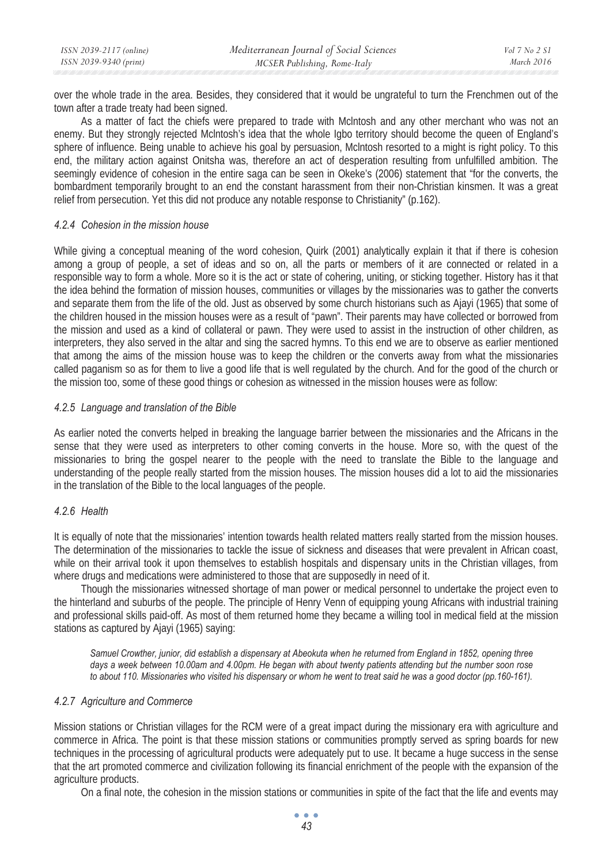over the whole trade in the area. Besides, they considered that it would be ungrateful to turn the Frenchmen out of the town after a trade treaty had been signed.

As a matter of fact the chiefs were prepared to trade with Mclntosh and any other merchant who was not an enemy. But they strongly rejected Mclntosh's idea that the whole Igbo territory should become the queen of England's sphere of influence. Being unable to achieve his goal by persuasion, Mclntosh resorted to a might is right policy. To this end, the military action against Onitsha was, therefore an act of desperation resulting from unfulfilled ambition. The seemingly evidence of cohesion in the entire saga can be seen in Okeke's (2006) statement that "for the converts, the bombardment temporarily brought to an end the constant harassment from their non-Christian kinsmen. It was a great relief from persecution. Yet this did not produce any notable response to Christianity" (p.162).

### *4.2.4 Cohesion in the mission house*

While giving a conceptual meaning of the word cohesion, Quirk (2001) analytically explain it that if there is cohesion among a group of people, a set of ideas and so on, all the parts or members of it are connected or related in a responsible way to form a whole. More so it is the act or state of cohering, uniting, or sticking together. History has it that the idea behind the formation of mission houses, communities or villages by the missionaries was to gather the converts and separate them from the life of the old. Just as observed by some church historians such as Ajayi (1965) that some of the children housed in the mission houses were as a result of "pawn". Their parents may have collected or borrowed from the mission and used as a kind of collateral or pawn. They were used to assist in the instruction of other children, as interpreters, they also served in the altar and sing the sacred hymns. To this end we are to observe as earlier mentioned that among the aims of the mission house was to keep the children or the converts away from what the missionaries called paganism so as for them to live a good life that is well regulated by the church. And for the good of the church or the mission too, some of these good things or cohesion as witnessed in the mission houses were as follow:

### *4.2.5 Language and translation of the Bible*

As earlier noted the converts helped in breaking the language barrier between the missionaries and the Africans in the sense that they were used as interpreters to other coming converts in the house. More so, with the quest of the missionaries to bring the gospel nearer to the people with the need to translate the Bible to the language and understanding of the people really started from the mission houses. The mission houses did a lot to aid the missionaries in the translation of the Bible to the local languages of the people.

## *4.2.6 Health*

It is equally of note that the missionaries' intention towards health related matters really started from the mission houses. The determination of the missionaries to tackle the issue of sickness and diseases that were prevalent in African coast, while on their arrival took it upon themselves to establish hospitals and dispensary units in the Christian villages, from where drugs and medications were administered to those that are supposedly in need of it.

Though the missionaries witnessed shortage of man power or medical personnel to undertake the project even to the hinterland and suburbs of the people. The principle of Henry Venn of equipping young Africans with industrial training and professional skills paid-off. As most of them returned home they became a willing tool in medical field at the mission stations as captured by Ajayi (1965) saying:

*Samuel Crowther, junior, did establish a dispensary at Abeokuta when he returned from England in 1852, opening three days a week between 10.00am and 4.00pm. He began with about twenty patients attending but the number soon rose*  to about 110. Missionaries who visited his dispensary or whom he went to treat said he was a good doctor (pp.160-161).

## *4.2.7 Agriculture and Commerce*

Mission stations or Christian villages for the RCM were of a great impact during the missionary era with agriculture and commerce in Africa. The point is that these mission stations or communities promptly served as spring boards for new techniques in the processing of agricultural products were adequately put to use. It became a huge success in the sense that the art promoted commerce and civilization following its financial enrichment of the people with the expansion of the agriculture products.

On a final note, the cohesion in the mission stations or communities in spite of the fact that the life and events may